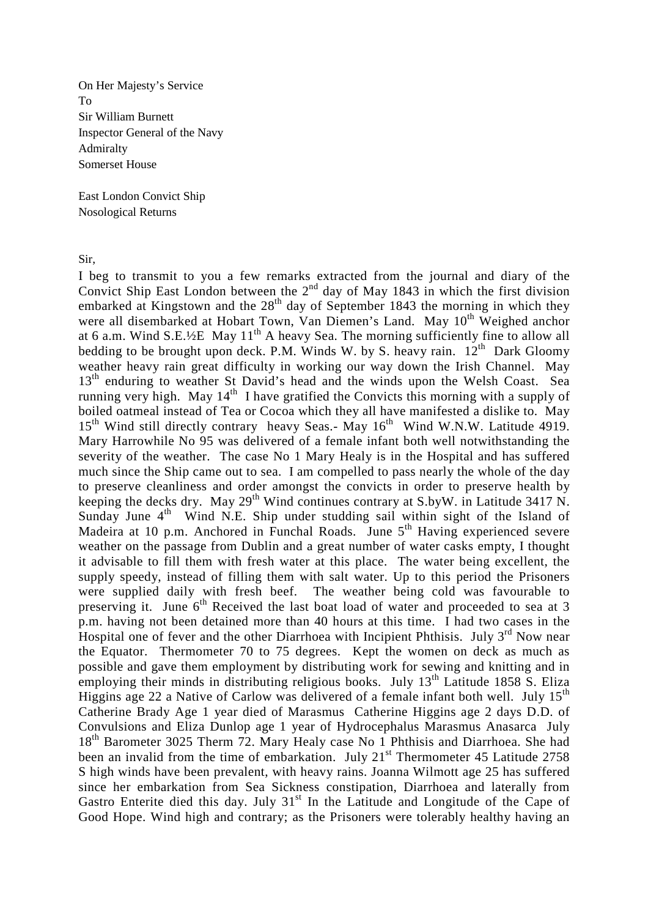On Her Majesty's Service To Sir William Burnett Inspector General of the Navy Admiralty Somerset House

East London Convict Ship Nosological Returns

Sir,

I beg to transmit to you a few remarks extracted from the journal and diary of the Convict Ship East London between the  $2<sup>nd</sup>$  day of May 1843 in which the first division embarked at Kingstown and the  $28<sup>th</sup>$  day of September 1843 the morning in which they were all disembarked at Hobart Town, Van Diemen's Land. May 10<sup>th</sup> Weighed anchor at 6 a.m. Wind S.E.<sup>1</sup>/<sub>2</sub>E May  $11<sup>th</sup>$  A heavy Sea. The morning sufficiently fine to allow all bedding to be brought upon deck. P.M. Winds W. by S. heavy rain.  $12^{th}$  Dark Gloomy weather heavy rain great difficulty in working our way down the Irish Channel. May 13<sup>th</sup> enduring to weather St David's head and the winds upon the Welsh Coast. Sea running very high. May  $14<sup>th</sup>$  I have gratified the Convicts this morning with a supply of boiled oatmeal instead of Tea or Cocoa which they all have manifested a dislike to. May 15<sup>th</sup> Wind still directly contrary heavy Seas.- May 16<sup>th</sup> Wind W.N.W. Latitude 4919. Mary Harrowhile No 95 was delivered of a female infant both well notwithstanding the severity of the weather. The case No 1 Mary Healy is in the Hospital and has suffered much since the Ship came out to sea. I am compelled to pass nearly the whole of the day to preserve cleanliness and order amongst the convicts in order to preserve health by keeping the decks dry. May 29<sup>th</sup> Wind continues contrary at S.byW. in Latitude 3417 N. Sunday June  $4<sup>th</sup>$  Wind N.E. Ship under studding sail within sight of the Island of Madeira at 10 p.m. Anchored in Funchal Roads. June 5<sup>th</sup> Having experienced severe weather on the passage from Dublin and a great number of water casks empty, I thought it advisable to fill them with fresh water at this place. The water being excellent, the supply speedy, instead of filling them with salt water. Up to this period the Prisoners were supplied daily with fresh beef. The weather being cold was favourable to preserving it. June  $6<sup>th</sup>$  Received the last boat load of water and proceeded to sea at 3 p.m. having not been detained more than 40 hours at this time. I had two cases in the Hospital one of fever and the other Diarrhoea with Incipient Phthisis. July  $3<sup>rd</sup>$  Now near the Equator. Thermometer 70 to 75 degrees. Kept the women on deck as much as possible and gave them employment by distributing work for sewing and knitting and in employing their minds in distributing religious books. July  $13<sup>th</sup>$  Latitude 1858 S. Eliza Higgins age 22 a Native of Carlow was delivered of a female infant both well. July  $15^{th}$ Catherine Brady Age 1 year died of Marasmus Catherine Higgins age 2 days D.D. of Convulsions and Eliza Dunlop age 1 year of Hydrocephalus Marasmus Anasarca July 18<sup>th</sup> Barometer 3025 Therm 72. Mary Healy case No 1 Phthisis and Diarrhoea. She had been an invalid from the time of embarkation. July  $21^{st}$  Thermometer 45 Latitude 2758 S high winds have been prevalent, with heavy rains. Joanna Wilmott age 25 has suffered since her embarkation from Sea Sickness constipation, Diarrhoea and laterally from Gastro Enterite died this day. July 31<sup>st</sup> In the Latitude and Longitude of the Cape of Good Hope. Wind high and contrary; as the Prisoners were tolerably healthy having an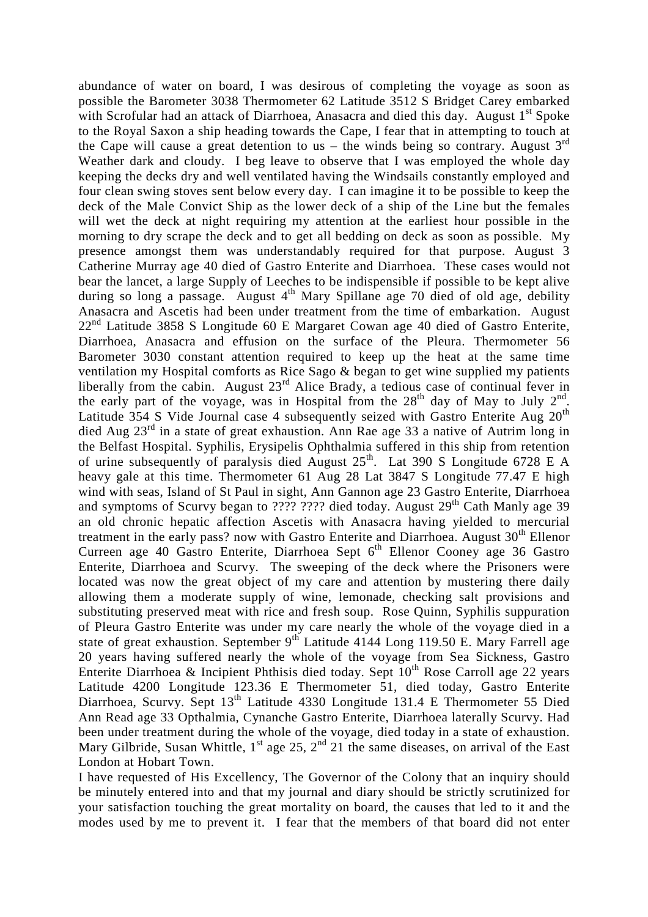abundance of water on board, I was desirous of completing the voyage as soon as possible the Barometer 3038 Thermometer 62 Latitude 3512 S Bridget Carey embarked with Scrofular had an attack of Diarrhoea, Anasacra and died this day. August  $1<sup>st</sup>$  Spoke to the Royal Saxon a ship heading towards the Cape, I fear that in attempting to touch at the Cape will cause a great detention to us – the winds being so contrary. August  $3^{rd}$ Weather dark and cloudy. I beg leave to observe that I was employed the whole day keeping the decks dry and well ventilated having the Windsails constantly employed and four clean swing stoves sent below every day. I can imagine it to be possible to keep the deck of the Male Convict Ship as the lower deck of a ship of the Line but the females will wet the deck at night requiring my attention at the earliest hour possible in the morning to dry scrape the deck and to get all bedding on deck as soon as possible. My presence amongst them was understandably required for that purpose. August 3 Catherine Murray age 40 died of Gastro Enterite and Diarrhoea. These cases would not bear the lancet, a large Supply of Leeches to be indispensible if possible to be kept alive during so long a passage. August  $4<sup>th</sup>$  Mary Spillane age 70 died of old age, debility Anasacra and Ascetis had been under treatment from the time of embarkation. August  $22<sup>nd</sup>$  Latitude 3858 S Longitude 60 E Margaret Cowan age 40 died of Gastro Enterite, Diarrhoea, Anasacra and effusion on the surface of the Pleura. Thermometer 56 Barometer 3030 constant attention required to keep up the heat at the same time ventilation my Hospital comforts as Rice Sago & began to get wine supplied my patients liberally from the cabin. August  $23<sup>rd</sup>$  Alice Brady, a tedious case of continual fever in the early part of the voyage, was in Hospital from the  $28<sup>th</sup>$  day of May to July  $2<sup>nd</sup>$ . Latitude 354 S Vide Journal case 4 subsequently seized with Gastro Enterite Aug  $20<sup>th</sup>$ died Aug 23rd in a state of great exhaustion. Ann Rae age 33 a native of Autrim long in the Belfast Hospital. Syphilis, Erysipelis Ophthalmia suffered in this ship from retention of urine subsequently of paralysis died August  $25<sup>th</sup>$ . Lat 390 S Longitude 6728 E A heavy gale at this time. Thermometer 61 Aug 28 Lat 3847 S Longitude 77.47 E high wind with seas, Island of St Paul in sight, Ann Gannon age 23 Gastro Enterite, Diarrhoea and symptoms of Scurvy began to ???? ???? died today. August  $29<sup>th</sup>$  Cath Manly age 39 an old chronic hepatic affection Ascetis with Anasacra having yielded to mercurial treatment in the early pass? now with Gastro Enterite and Diarrhoea. August  $30<sup>th</sup>$  Ellenor Curreen age 40 Gastro Enterite, Diarrhoea Sept  $6<sup>th</sup>$  Ellenor Cooney age 36 Gastro Enterite, Diarrhoea and Scurvy. The sweeping of the deck where the Prisoners were located was now the great object of my care and attention by mustering there daily allowing them a moderate supply of wine, lemonade, checking salt provisions and substituting preserved meat with rice and fresh soup. Rose Quinn, Syphilis suppuration of Pleura Gastro Enterite was under my care nearly the whole of the voyage died in a state of great exhaustion. September 9<sup>th</sup> Latitude 4144 Long 119.50 E. Mary Farrell age 20 years having suffered nearly the whole of the voyage from Sea Sickness, Gastro Enterite Diarrhoea & Incipient Phthisis died today. Sept  $10<sup>th</sup>$  Rose Carroll age 22 years Latitude 4200 Longitude 123.36 E Thermometer 51, died today, Gastro Enterite Diarrhoea, Scurvy. Sept 13<sup>th</sup> Latitude 4330 Longitude 131.4 E Thermometer 55 Died Ann Read age 33 Opthalmia, Cynanche Gastro Enterite, Diarrhoea laterally Scurvy. Had been under treatment during the whole of the voyage, died today in a state of exhaustion. Mary Gilbride, Susan Whittle,  $1^{st}$  age 25,  $2^{nd}$  21 the same diseases, on arrival of the East London at Hobart Town.

I have requested of His Excellency, The Governor of the Colony that an inquiry should be minutely entered into and that my journal and diary should be strictly scrutinized for your satisfaction touching the great mortality on board, the causes that led to it and the modes used by me to prevent it. I fear that the members of that board did not enter